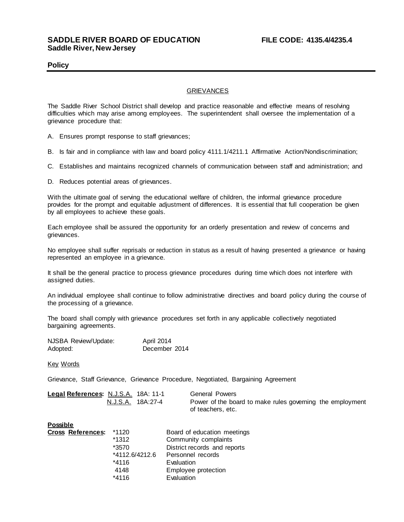## **Policy**

## GRIEVANCES

The Saddle River School District shall develop and practice reasonable and effective means of resolving difficulties which may arise among employees. The superintendent shall oversee the implementation of a grievance procedure that:

- A. Ensures prompt response to staff grievances;
- B. Is fair and in compliance with law and board policy 4111.1/4211.1 Affirmative Action/Nondiscrimination;
- C. Establishes and maintains recognized channels of communication between staff and administration; and

D. Reduces potential areas of grievances.

With the ultimate goal of serving the educational welfare of children, the informal grievance procedure provides for the prompt and equitable adjustment of differences. It is essential that full cooperation be given by all employees to achieve these goals.

Each employee shall be assured the opportunity for an orderly presentation and review of concerns and grievances.

No employee shall suffer reprisals or reduction in status as a result of having presented a grievance or having represented an employee in a grievance.

It shall be the general practice to process grievance procedures during time which does not interfere with assigned duties.

An individual employee shall continue to follow administrative directives and board policy during the course of the processing of a grievance.

The board shall comply with grievance procedures set forth in any applicable collectively negotiated bargaining agreements.

| NJSBA Review/Update: | April 2014    |
|----------------------|---------------|
| Adopted:             | December 2014 |

Key Words

Grievance, Staff Grievance, Grievance Procedure, Negotiated, Bargaining Agreement

| Legal References: N.J.S.A. 18A: 11-1 |                   | General Powers                                            |
|--------------------------------------|-------------------|-----------------------------------------------------------|
|                                      | N.J.S.A. 18A:27-4 | Power of the board to make rules governing the employment |
|                                      |                   | of teachers, etc.                                         |

## **Possible**

|  | <b>Cross References:</b> | *1120          | Board of education meetings  |
|--|--------------------------|----------------|------------------------------|
|  |                          | $*1312$        | Community complaints         |
|  |                          | *3570          | District records and reports |
|  |                          | *4112.6/4212.6 | Personnel records            |
|  |                          | *4116          | Evaluation                   |
|  |                          | 4148           | Employee protection          |
|  |                          | $*4116$        | Evaluation                   |